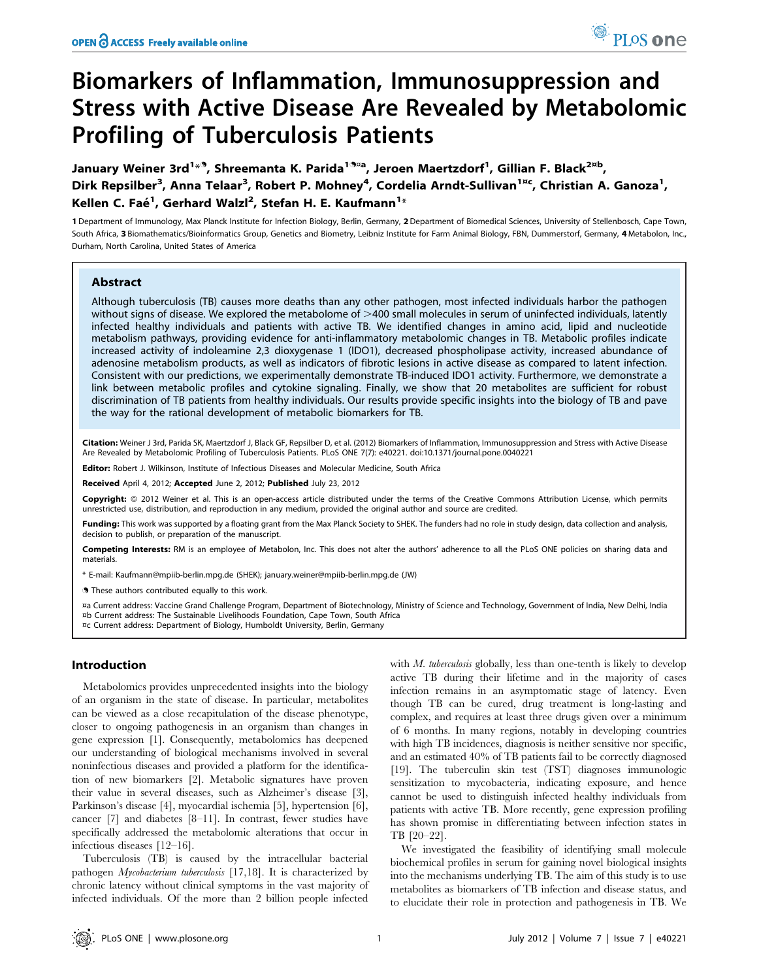# Biomarkers of Inflammation, Immunosuppression and Stress with Active Disease Are Revealed by Metabolomic Profiling of Tuberculosis Patients

January Weiner 3rd<sup>1</sup>\*<sup>9</sup>, Shreemanta K. Parida<sup>19¤a</sup>, Jeroen Maertzdorf<sup>1</sup>, Gillian F. Black<sup>2¤b</sup>, Dirk Repsilber<sup>3</sup>, Anna Telaar<sup>3</sup>, Robert P. Mohney<sup>4</sup>, Cordelia Arndt-Sullivan<sup>1¤c</sup>, Christian A. Ganoza<sup>1</sup>, Kellen C. Faé $^1$ , Gerhard Walzl $^2$ , Stefan H. E. Kaufmann $^{1_\times}$ 

1 Department of Immunology, Max Planck Institute for Infection Biology, Berlin, Germany, 2Department of Biomedical Sciences, University of Stellenbosch, Cape Town, South Africa, 3 Biomathematics/Bioinformatics Group, Genetics and Biometry, Leibniz Institute for Farm Animal Biology, FBN, Dummerstorf, Germany, 4 Metabolon, Inc., Durham, North Carolina, United States of America

# Abstract

Although tuberculosis (TB) causes more deaths than any other pathogen, most infected individuals harbor the pathogen without signs of disease. We explored the metabolome of  $>$ 400 small molecules in serum of uninfected individuals, latently infected healthy individuals and patients with active TB. We identified changes in amino acid, lipid and nucleotide metabolism pathways, providing evidence for anti-inflammatory metabolomic changes in TB. Metabolic profiles indicate increased activity of indoleamine 2,3 dioxygenase 1 (IDO1), decreased phospholipase activity, increased abundance of adenosine metabolism products, as well as indicators of fibrotic lesions in active disease as compared to latent infection. Consistent with our predictions, we experimentally demonstrate TB-induced IDO1 activity. Furthermore, we demonstrate a link between metabolic profiles and cytokine signaling. Finally, we show that 20 metabolites are sufficient for robust discrimination of TB patients from healthy individuals. Our results provide specific insights into the biology of TB and pave the way for the rational development of metabolic biomarkers for TB.

Citation: Weiner J 3rd, Parida SK, Maertzdorf J, Black GF, Repsilber D, et al. (2012) Biomarkers of Inflammation, Immunosuppression and Stress with Active Disease Are Revealed by Metabolomic Profiling of Tuberculosis Patients. PLoS ONE 7(7): e40221. doi:10.1371/journal.pone.0040221

Editor: Robert J. Wilkinson, Institute of Infectious Diseases and Molecular Medicine, South Africa

Received April 4, 2012; Accepted June 2, 2012; Published July 23, 2012

Copyright: © 2012 Weiner et al. This is an open-access article distributed under the terms of the Creative Commons Attribution License, which permits unrestricted use, distribution, and reproduction in any medium, provided the original author and source are credited.

Funding: This work was supported by a floating grant from the Max Planck Society to SHEK. The funders had no role in study design, data collection and analysis, decision to publish, or preparation of the manuscript.

Competing Interests: RM is an employee of Metabolon, Inc. This does not alter the authors' adherence to all the PLoS ONE policies on sharing data and materials.

\* E-mail: Kaufmann@mpiib-berlin.mpg.de (SHEK); january.weiner@mpiib-berlin.mpg.de (JW)

. These authors contributed equally to this work.

¤a Current address: Vaccine Grand Challenge Program, Department of Biotechnology, Ministry of Science and Technology, Government of India, New Delhi, India

¤b Current address: The Sustainable Livelihoods Foundation, Cape Town, South Africa

¤c Current address: Department of Biology, Humboldt University, Berlin, Germany

# Introduction

Metabolomics provides unprecedented insights into the biology of an organism in the state of disease. In particular, metabolites can be viewed as a close recapitulation of the disease phenotype, closer to ongoing pathogenesis in an organism than changes in gene expression [1]. Consequently, metabolomics has deepened our understanding of biological mechanisms involved in several noninfectious diseases and provided a platform for the identification of new biomarkers [2]. Metabolic signatures have proven their value in several diseases, such as Alzheimer's disease [3], Parkinson's disease [4], myocardial ischemia [5], hypertension [6], cancer [7] and diabetes [8–11]. In contrast, fewer studies have specifically addressed the metabolomic alterations that occur in infectious diseases [12–16].

Tuberculosis (TB) is caused by the intracellular bacterial pathogen Mycobacterium tuberculosis [17,18]. It is characterized by chronic latency without clinical symptoms in the vast majority of infected individuals. Of the more than 2 billion people infected

with M. tuberculosis globally, less than one-tenth is likely to develop active TB during their lifetime and in the majority of cases infection remains in an asymptomatic stage of latency. Even though TB can be cured, drug treatment is long-lasting and complex, and requires at least three drugs given over a minimum of 6 months. In many regions, notably in developing countries with high TB incidences, diagnosis is neither sensitive nor specific, and an estimated 40% of TB patients fail to be correctly diagnosed [19]. The tuberculin skin test (TST) diagnoses immunologic sensitization to mycobacteria, indicating exposure, and hence cannot be used to distinguish infected healthy individuals from patients with active TB. More recently, gene expression profiling has shown promise in differentiating between infection states in TB [20–22].

We investigated the feasibility of identifying small molecule biochemical profiles in serum for gaining novel biological insights into the mechanisms underlying TB. The aim of this study is to use metabolites as biomarkers of TB infection and disease status, and to elucidate their role in protection and pathogenesis in TB. We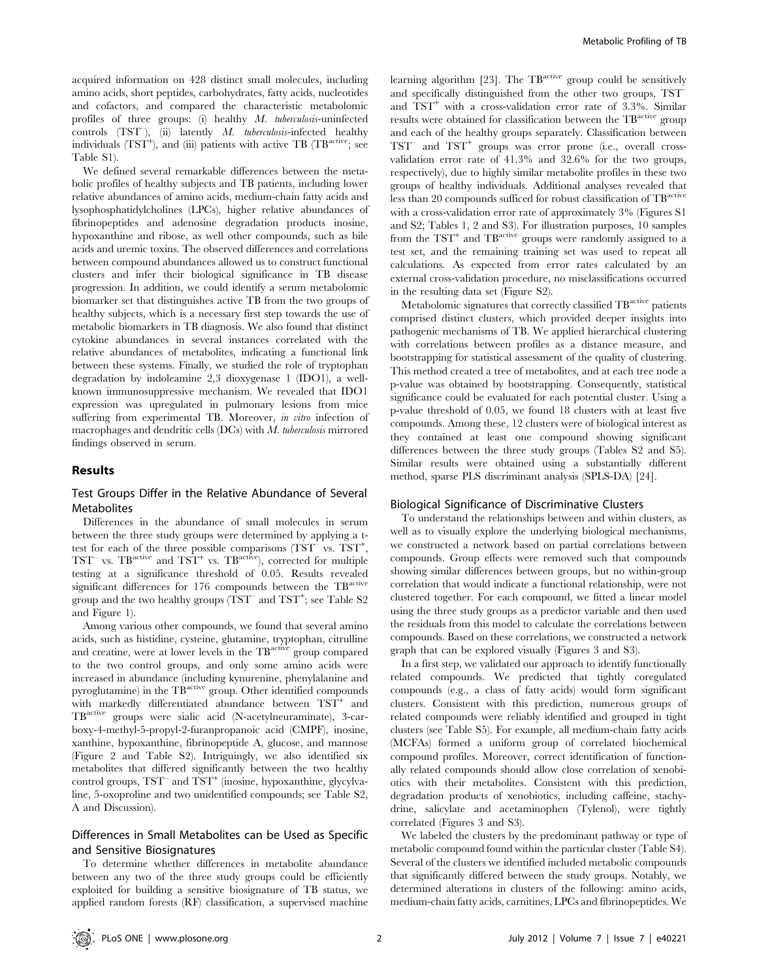acquired information on 428 distinct small molecules, including amino acids, short peptides, carbohydrates, fatty acids, nucleotides and cofactors, and compared the characteristic metabolomic profiles of three groups: (i) healthy M. tuberculosis-uninfected controls (TST<sup>-</sup>), (ii) latently M. tuberculosis-infected healthy individuals (TST<sup>+</sup>), and (iii) patients with active TB (TB<sup>active</sup>; see Table S1).

We defined several remarkable differences between the metabolic profiles of healthy subjects and TB patients, including lower relative abundances of amino acids, medium-chain fatty acids and lysophosphatidylcholines (LPCs), higher relative abundances of fibrinopeptides and adenosine degradation products inosine, hypoxanthine and ribose, as well other compounds, such as bile acids and uremic toxins. The observed differences and correlations between compound abundances allowed us to construct functional clusters and infer their biological significance in TB disease progression. In addition, we could identify a serum metabolomic biomarker set that distinguishes active TB from the two groups of healthy subjects, which is a necessary first step towards the use of metabolic biomarkers in TB diagnosis. We also found that distinct cytokine abundances in several instances correlated with the relative abundances of metabolites, indicating a functional link between these systems. Finally, we studied the role of tryptophan degradation by indoleamine 2,3 dioxygenase 1 (IDO1), a wellknown immunosuppressive mechanism. We revealed that IDO1 expression was upregulated in pulmonary lesions from mice suffering from experimental TB. Moreover, in vitro infection of macrophages and dendritic cells  $(DCs)$  with  $M.$  tuberculosis mirrored findings observed in serum.

## Results

# Test Groups Differ in the Relative Abundance of Several Metabolites

Differences in the abundance of small molecules in serum between the three study groups were determined by applying a ttest for each of the three possible comparisons  $(TST^{-}$  vs.  $TST^{+}$ , TST<sup>-</sup> vs. TB<sup>active</sup> and TST<sup>+</sup> vs. TB<sup>active</sup>), corrected for multiple testing at a significance threshold of 0.05. Results revealed significant differences for 176 compounds between the TB<sup>active</sup> group and the two healthy groups  $(\operatorname{TST}^-$  and  $\operatorname{TST}^+$ ; see Table S2 and Figure 1).

Among various other compounds, we found that several amino acids, such as histidine, cysteine, glutamine, tryptophan, citrulline and creatine, were at lower levels in the TB<sup>active</sup> group compared to the two control groups, and only some amino acids were increased in abundance (including kynurenine, phenylalanine and pyroglutamine) in the TB<sup>active</sup> group. Other identified compounds with markedly differentiated abundance between TST<sup>+</sup> and TBactive groups were sialic acid (N-acetylneuraminate), 3-carboxy-4-methyl-5-propyl-2-furanpropanoic acid (CMPF), inosine, xanthine, hypoxanthine, fibrinopeptide A, glucose, and mannose (Figure 2 and Table S2). Intriguingly, we also identified six metabolites that differed significantly between the two healthy control groups,  $TST^-$  and  $TST^+$  (inosine, hypoxanthine, glycylvaline, 5-oxoproline and two unidentified compounds; see Table S2, A and Discussion).

# Differences in Small Metabolites can be Used as Specific and Sensitive Biosignatures

To determine whether differences in metabolite abundance between any two of the three study groups could be efficiently exploited for building a sensitive biosignature of TB status, we applied random forests (RF) classification, a supervised machine

learning algorithm [23]. The  $TB<sup>active</sup>$  group could be sensitively and specifically distinguished from the other two groups, TST– and  $TST^+$  with a cross-validation error rate of 3.3%. Similar results were obtained for classification between the TB<sup>active</sup> group and each of the healthy groups separately. Classification between  $TST^-$  and  $TST^+$  groups was error prone (i.e., overall crossvalidation error rate of 41.3% and 32.6% for the two groups, respectively), due to highly similar metabolite profiles in these two groups of healthy individuals. Additional analyses revealed that less than 20 compounds sufficed for robust classification of  $TB<sup>active</sup>$ with a cross-validation error rate of approximately 3% (Figures S1 and S2; Tables 1, 2 and S3). For illustration purposes, 10 samples from the TST<sup>+</sup> and TB<sup>active</sup> groups were randomly assigned to a test set, and the remaining training set was used to repeat all calculations. As expected from error rates calculated by an external cross-validation procedure, no misclassifications occurred in the resulting data set (Figure S2).

Metabolomic signatures that correctly classified  $\mathrm{TB}^{\mathrm{active}}$  patients comprised distinct clusters, which provided deeper insights into pathogenic mechanisms of TB. We applied hierarchical clustering with correlations between profiles as a distance measure, and bootstrapping for statistical assessment of the quality of clustering. This method created a tree of metabolites, and at each tree node a p-value was obtained by bootstrapping. Consequently, statistical significance could be evaluated for each potential cluster. Using a p-value threshold of 0.05, we found 18 clusters with at least five compounds. Among these, 12 clusters were of biological interest as they contained at least one compound showing significant differences between the three study groups (Tables S2 and S5). Similar results were obtained using a substantially different method, sparse PLS discriminant analysis (SPLS-DA) [24].

#### Biological Significance of Discriminative Clusters

To understand the relationships between and within clusters, as well as to visually explore the underlying biological mechanisms, we constructed a network based on partial correlations between compounds. Group effects were removed such that compounds showing similar differences between groups, but no within-group correlation that would indicate a functional relationship, were not clustered together. For each compound, we fitted a linear model using the three study groups as a predictor variable and then used the residuals from this model to calculate the correlations between compounds. Based on these correlations, we constructed a network graph that can be explored visually (Figures 3 and S3).

In a first step, we validated our approach to identify functionally related compounds. We predicted that tightly coregulated compounds (e.g., a class of fatty acids) would form significant clusters. Consistent with this prediction, numerous groups of related compounds were reliably identified and grouped in tight clusters (see Table S5). For example, all medium-chain fatty acids (MCFAs) formed a uniform group of correlated biochemical compound profiles. Moreover, correct identification of functionally related compounds should allow close correlation of xenobiotics with their metabolites. Consistent with this prediction, degradation products of xenobiotics, including caffeine, stachydrine, salicylate and acetaminophen (Tylenol), were tightly correlated (Figures 3 and S3).

We labeled the clusters by the predominant pathway or type of metabolic compound found within the particular cluster (Table S4). Several of the clusters we identified included metabolic compounds that significantly differed between the study groups. Notably, we determined alterations in clusters of the following: amino acids, medium-chain fatty acids, carnitines, LPCs and fibrinopeptides. We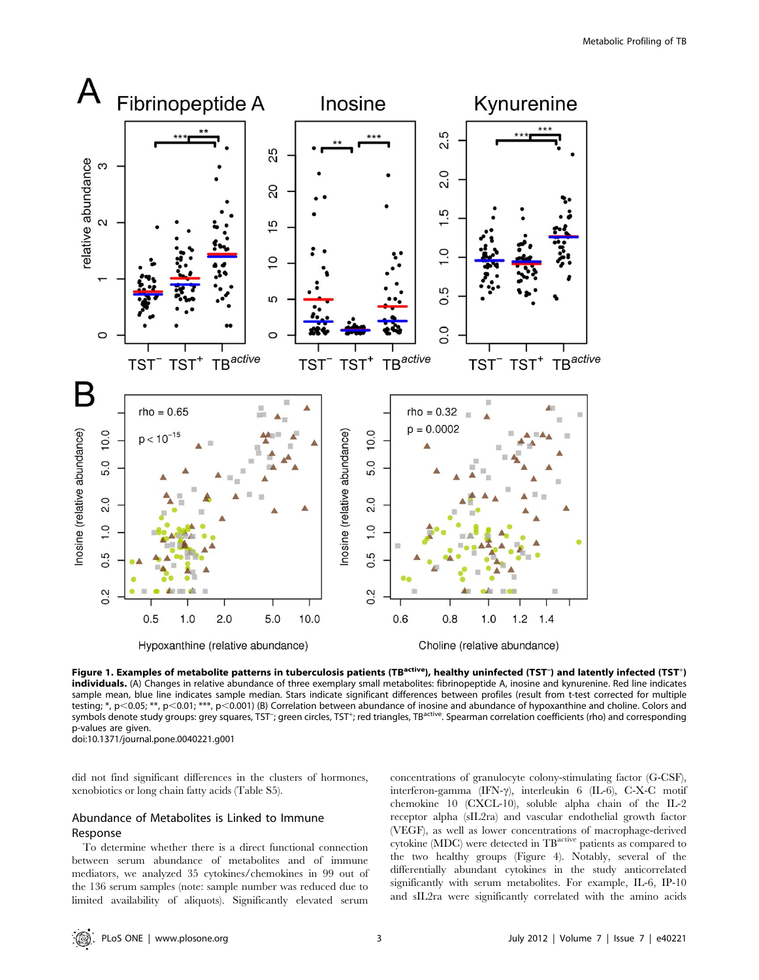

Figure 1. Examples of metabolite patterns in tuberculosis patients (TB<sup>active</sup>), healthy uninfected (TST<sup>-</sup>) and latently infected (TST<sup>-</sup>) individuals. (A) Changes in relative abundance of three exemplary small metabolites: fibrinopeptide A, inosine and kynurenine. Red line indicates sample mean, blue line indicates sample median. Stars indicate significant differences between profiles (result from t-test corrected for multiple testing; \*, p<0.05; \*\*, p<0.01; \*\*\*, p<0.001) (B) Correlation between abundance of inosine and abundance of hypoxanthine and choline. Colors and symbols denote study groups: grey squares, TST ; green circles, TST ; red triangles, TB<sup>active</sup>. Spearman correlation coefficients (rho) and corresponding p-values are given.

doi:10.1371/journal.pone.0040221.g001

did not find significant differences in the clusters of hormones, xenobiotics or long chain fatty acids (Table S5).

# Abundance of Metabolites is Linked to Immune Response

To determine whether there is a direct functional connection between serum abundance of metabolites and of immune mediators, we analyzed 35 cytokines/chemokines in 99 out of the 136 serum samples (note: sample number was reduced due to limited availability of aliquots). Significantly elevated serum

concentrations of granulocyte colony-stimulating factor (G-CSF), interferon-gamma (IFN- $\gamma$ ), interleukin 6 (IL-6), C-X-C motif chemokine 10 (CXCL-10), soluble alpha chain of the IL-2 receptor alpha (sIL2ra) and vascular endothelial growth factor (VEGF), as well as lower concentrations of macrophage-derived cytokine (MDC) were detected in TBactive patients as compared to the two healthy groups (Figure 4). Notably, several of the differentially abundant cytokines in the study anticorrelated significantly with serum metabolites. For example, IL-6, IP-10 and sIL2ra were significantly correlated with the amino acids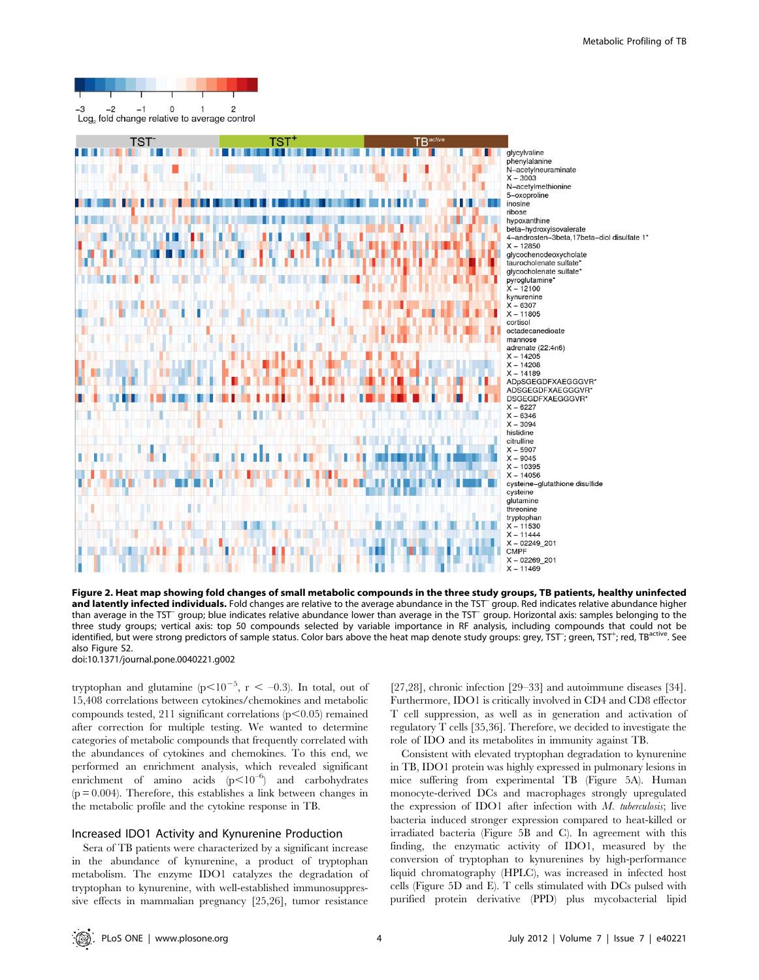

Figure 2. Heat map showing fold changes of small metabolic compounds in the three study groups, TB patients, healthy uninfected and latently infected individuals. Fold changes are relative to the average abundance in the TST group. Red indicates relative abundance higher than average in the TST– group; blue indicates relative abundance lower than average in the TST– group. Horizontal axis: samples belonging to the three study groups; vertical axis: top 50 compounds selected by variable importance in RF analysis, including compounds that could not be identified, but were strong predictors of sample status. Color bars above the heat map denote study groups: grey, TST-; green, TST<sup>+</sup>; red, TB<sup>active</sup>. See also Figure S2.

doi:10.1371/journal.pone.0040221.g002

tryptophan and glutamine ( $p<10^{-5}$ ,  $r < -0.3$ ). In total, out of 15,408 correlations between cytokines/chemokines and metabolic compounds tested, 211 significant correlations  $(p<0.05)$  remained after correction for multiple testing. We wanted to determine categories of metabolic compounds that frequently correlated with the abundances of cytokines and chemokines. To this end, we performed an enrichment analysis, which revealed significant enrichment of amino acids  $(p<10^{-6})$  and carbohydrates  $(p = 0.004)$ . Therefore, this establishes a link between changes in the metabolic profile and the cytokine response in TB.

# Increased IDO1 Activity and Kynurenine Production

Sera of TB patients were characterized by a significant increase in the abundance of kynurenine, a product of tryptophan metabolism. The enzyme IDO1 catalyzes the degradation of tryptophan to kynurenine, with well-established immunosuppressive effects in mammalian pregnancy [25,26], tumor resistance

[27,28], chronic infection [29–33] and autoimmune diseases [34]. Furthermore, IDO1 is critically involved in CD4 and CD8 effector T cell suppression, as well as in generation and activation of regulatory T cells [35,36]. Therefore, we decided to investigate the role of IDO and its metabolites in immunity against TB.

Consistent with elevated tryptophan degradation to kynurenine in TB, IDO1 protein was highly expressed in pulmonary lesions in mice suffering from experimental TB (Figure 5A). Human monocyte-derived DCs and macrophages strongly upregulated the expression of IDO1 after infection with  $M$ . tuberculosis; live bacteria induced stronger expression compared to heat-killed or irradiated bacteria (Figure 5B and C). In agreement with this finding, the enzymatic activity of IDO1, measured by the conversion of tryptophan to kynurenines by high-performance liquid chromatography (HPLC), was increased in infected host cells (Figure 5D and E). T cells stimulated with DCs pulsed with purified protein derivative (PPD) plus mycobacterial lipid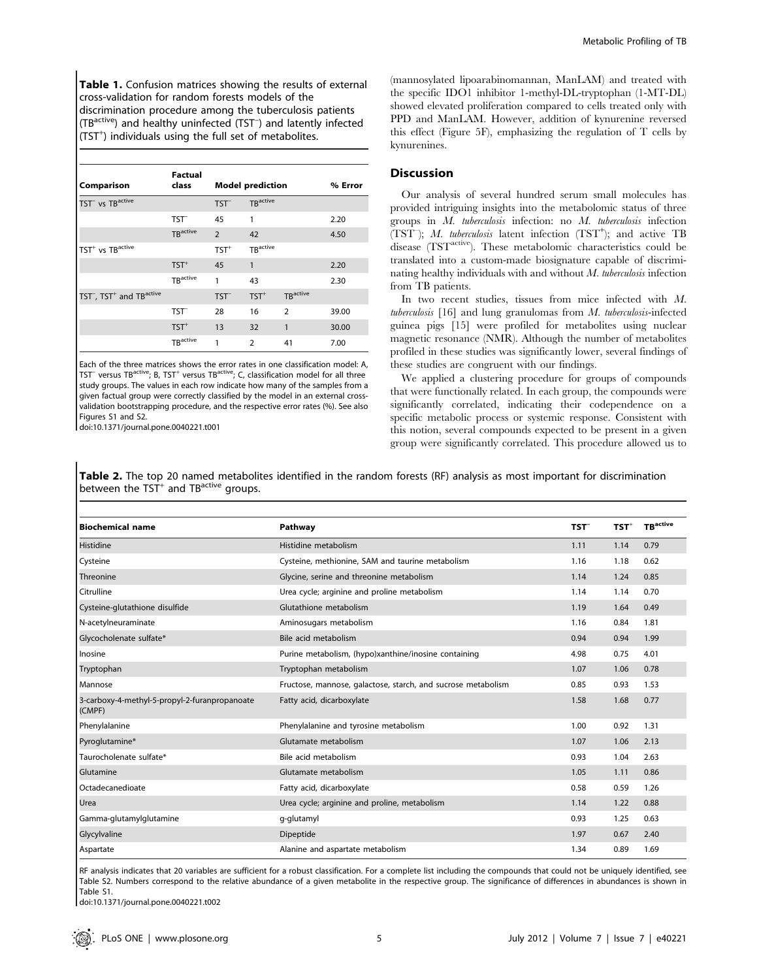Table 1. Confusion matrices showing the results of external cross-validation for random forests models of the discrimination procedure among the tuberculosis patients (TB<sup>active</sup>) and healthy uninfected (TST<sup>-</sup>) and latently infected (TST<sup>+</sup>) individuals using the full set of metabolites.

| Comparison                                                   | <b>Factual</b><br>class     |                  | <b>Model prediction</b> |                      | % Error |
|--------------------------------------------------------------|-----------------------------|------------------|-------------------------|----------------------|---------|
| TST <sup>-</sup> vs TB <sup>active</sup>                     |                             | $TST^-$          | TB <sup>active</sup>    |                      |         |
|                                                              | $TST^-$                     | 45               | 1                       |                      | 2.20    |
|                                                              | TRactive                    | $\overline{2}$   | 42                      |                      | 4.50    |
| TST <sup>+</sup> vs TB <sup>active</sup>                     |                             | $TST^+$          | TB <sup>active</sup>    |                      |         |
|                                                              | $TST^+$                     | 45               | 1                       |                      | 2.20    |
|                                                              | <b>TB</b> <sup>active</sup> | 1                | 43                      |                      | 2.30    |
| TST <sup>-</sup> , TST <sup>+</sup> and TB <sup>active</sup> |                             | TST <sup>-</sup> | $TST^+$                 | TB <sup>active</sup> |         |
|                                                              | $TST^-$                     | 28               | 16                      | $\overline{2}$       | 39.00   |
|                                                              | $TST^+$                     | 13               | 32                      | 1                    | 30.00   |
|                                                              | TB <sup>active</sup>        | 1                | $\overline{2}$          | 41                   | 7.00    |

Each of the three matrices shows the error rates in one classification model: A, TST– versus TB<sup>active</sup>; B, TST<sup>+</sup> versus TB<sup>active</sup>; C, classification model for all three study groups. The values in each row indicate how many of the samples from a given factual group were correctly classified by the model in an external crossvalidation bootstrapping procedure, and the respective error rates (%). See also Figures S1 and S2.

doi:10.1371/journal.pone.0040221.t001

(mannosylated lipoarabinomannan, ManLAM) and treated with the specific IDO1 inhibitor 1-methyl-DL-tryptophan (1-MT-DL) showed elevated proliferation compared to cells treated only with PPD and ManLAM. However, addition of kynurenine reversed this effect (Figure 5F), emphasizing the regulation of T cells by kynurenines.

# Discussion

Our analysis of several hundred serum small molecules has provided intriguing insights into the metabolomic status of three groups in M. tuberculosis infection: no M. tuberculosis infection  $(TST^-);$  *M. tuberculosis* latent infection  $(TST^+);$  and active TB disease (TST<sup>active</sup>). These metabolomic characteristics could be translated into a custom-made biosignature capable of discriminating healthy individuals with and without  $M$ . tuberculosis infection from TB patients.

In two recent studies, tissues from mice infected with M. tuberculosis [16] and lung granulomas from M. tuberculosis-infected guinea pigs [15] were profiled for metabolites using nuclear magnetic resonance (NMR). Although the number of metabolites profiled in these studies was significantly lower, several findings of these studies are congruent with our findings.

We applied a clustering procedure for groups of compounds that were functionally related. In each group, the compounds were significantly correlated, indicating their codependence on a specific metabolic process or systemic response. Consistent with this notion, several compounds expected to be present in a given group were significantly correlated. This procedure allowed us to

Table 2. The top 20 named metabolites identified in the random forests (RF) analysis as most important for discrimination between the  $TST^+$  and  $TB^{\text{active}}$  groups.

| <b>Biochemical name</b>                                 | Pathway                                                      | $TST^-$ | $TST^+$ | <b>TB</b> <sup>active</sup> |
|---------------------------------------------------------|--------------------------------------------------------------|---------|---------|-----------------------------|
| <b>Histidine</b>                                        | Histidine metabolism                                         | 1.11    | 1.14    | 0.79                        |
| Cysteine                                                | Cysteine, methionine, SAM and taurine metabolism             | 1.16    | 1.18    | 0.62                        |
| Threonine                                               | Glycine, serine and threonine metabolism                     | 1.14    | 1.24    | 0.85                        |
| Citrulline                                              | Urea cycle; arginine and proline metabolism                  | 1.14    | 1.14    | 0.70                        |
| Cysteine-glutathione disulfide                          | Glutathione metabolism                                       | 1.19    | 1.64    | 0.49                        |
| N-acetylneuraminate                                     | Aminosugars metabolism                                       | 1.16    | 0.84    | 1.81                        |
| Glycocholenate sulfate*                                 | Bile acid metabolism                                         | 0.94    | 0.94    | 1.99                        |
| Inosine                                                 | Purine metabolism, (hypo)xanthine/inosine containing         | 4.98    | 0.75    | 4.01                        |
| Tryptophan                                              | Tryptophan metabolism                                        | 1.07    | 1.06    | 0.78                        |
| Mannose                                                 | Fructose, mannose, galactose, starch, and sucrose metabolism | 0.85    | 0.93    | 1.53                        |
| 3-carboxy-4-methyl-5-propyl-2-furanpropanoate<br>(CMPF) | Fatty acid, dicarboxylate                                    | 1.58    | 1.68    | 0.77                        |
| Phenylalanine                                           | Phenylalanine and tyrosine metabolism                        | 1.00    | 0.92    | 1.31                        |
| Pyroglutamine*                                          | Glutamate metabolism                                         | 1.07    | 1.06    | 2.13                        |
| Taurocholenate sulfate*                                 | Bile acid metabolism                                         | 0.93    | 1.04    | 2.63                        |
| Glutamine                                               | Glutamate metabolism                                         | 1.05    | 1.11    | 0.86                        |
| Octadecanedioate                                        | Fatty acid, dicarboxylate                                    | 0.58    | 0.59    | 1.26                        |
| Urea                                                    | Urea cycle; arginine and proline, metabolism                 | 1.14    | 1.22    | 0.88                        |
| Gamma-glutamylglutamine                                 | g-glutamyl                                                   | 0.93    | 1.25    | 0.63                        |
| Glycylvaline                                            | Dipeptide                                                    | 1.97    | 0.67    | 2.40                        |
| Aspartate                                               | Alanine and aspartate metabolism                             | 1.34    | 0.89    | 1.69                        |

RF analysis indicates that 20 variables are sufficient for a robust classification. For a complete list including the compounds that could not be uniquely identified, see Table S2. Numbers correspond to the relative abundance of a given metabolite in the respective group. The significance of differences in abundances is shown in Table S1.

doi:10.1371/journal.pone.0040221.t002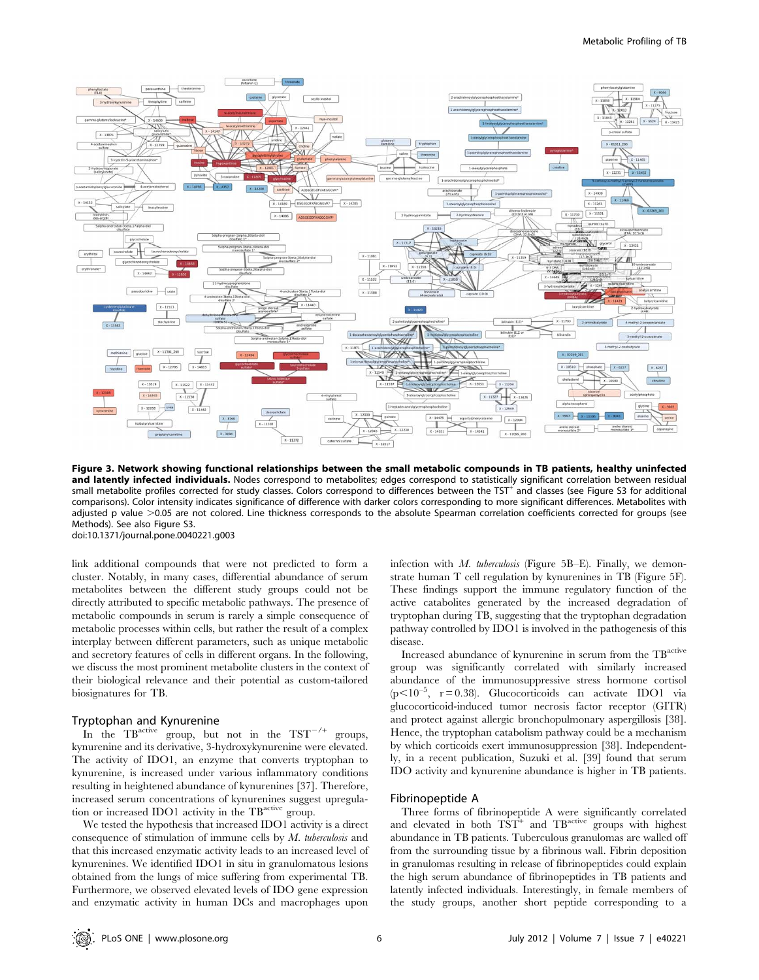

Figure 3. Network showing functional relationships between the small metabolic compounds in TB patients, healthy uninfected and latently infected individuals. Nodes correspond to metabolites; edges correspond to statistically significant correlation between residual small metabolite profiles corrected for study classes. Colors correspond to differences between the TST<sup>+</sup> and classes (see Figure S3 for additional comparisons). Color intensity indicates significance of difference with darker colors corresponding to more significant differences. Metabolites with adjusted p value >0.05 are not colored. Line thickness corresponds to the absolute Spearman correlation coefficients corrected for groups (see Methods). See also Figure S3. doi:10.1371/journal.pone.0040221.g003

link additional compounds that were not predicted to form a cluster. Notably, in many cases, differential abundance of serum metabolites between the different study groups could not be directly attributed to specific metabolic pathways. The presence of metabolic compounds in serum is rarely a simple consequence of metabolic processes within cells, but rather the result of a complex interplay between different parameters, such as unique metabolic and secretory features of cells in different organs. In the following, we discuss the most prominent metabolite clusters in the context of their biological relevance and their potential as custom-tailored biosignatures for TB.

#### Tryptophan and Kynurenine

In the TB<sup>active</sup> group, but not in the TST<sup> $-$ /+</sup> groups, kynurenine and its derivative, 3-hydroxykynurenine were elevated. The activity of IDO1, an enzyme that converts tryptophan to kynurenine, is increased under various inflammatory conditions resulting in heightened abundance of kynurenines [37]. Therefore, increased serum concentrations of kynurenines suggest upregulation or increased IDO1 activity in the TB<sup>active</sup> group.

We tested the hypothesis that increased IDO1 activity is a direct consequence of stimulation of immune cells by M. tuberculosis and that this increased enzymatic activity leads to an increased level of kynurenines. We identified IDO1 in situ in granulomatous lesions obtained from the lungs of mice suffering from experimental TB. Furthermore, we observed elevated levels of IDO gene expression and enzymatic activity in human DCs and macrophages upon infection with  $M$ . tuberculosis (Figure 5B–E). Finally, we demonstrate human T cell regulation by kynurenines in TB (Figure 5F). These findings support the immune regulatory function of the active catabolites generated by the increased degradation of tryptophan during TB, suggesting that the tryptophan degradation pathway controlled by IDO1 is involved in the pathogenesis of this disease.

Increased abundance of kynurenine in serum from the TB<sup>active</sup> group was significantly correlated with similarly increased abundance of the immunosuppressive stress hormone cortisol  $(p<10^{-5}$ , r = 0.38). Glucocorticoids can activate IDO1 via glucocorticoid-induced tumor necrosis factor receptor (GITR) and protect against allergic bronchopulmonary aspergillosis [38]. Hence, the tryptophan catabolism pathway could be a mechanism by which corticoids exert immunosuppression [38]. Independently, in a recent publication, Suzuki et al. [39] found that serum IDO activity and kynurenine abundance is higher in TB patients.

#### Fibrinopeptide A

Three forms of fibrinopeptide A were significantly correlated and elevated in both  $TST^+$  and  $TB^{\text{active}}$  groups with highest abundance in TB patients. Tuberculous granulomas are walled off from the surrounding tissue by a fibrinous wall. Fibrin deposition in granulomas resulting in release of fibrinopeptides could explain the high serum abundance of fibrinopeptides in TB patients and latently infected individuals. Interestingly, in female members of the study groups, another short peptide corresponding to a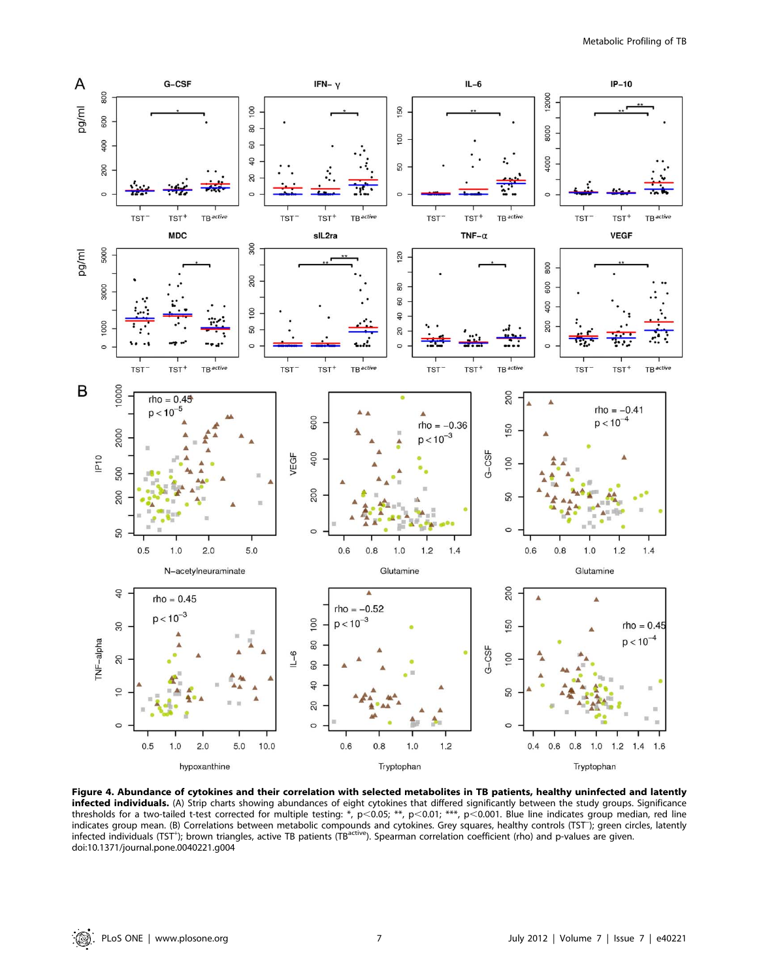

Figure 4. Abundance of cytokines and their correlation with selected metabolites in TB patients, healthy uninfected and latently infected individuals. (A) Strip charts showing abundances of eight cytokines that differed significantly between the study groups. Significance thresholds for a two-tailed t-test corrected for multiple testing: \*, p<0.05; \*\*, p<0.01; \*\*\*, p<0.001. Blue line indicates group median, red line indicates group mean. (B) Correlations between metabolic compounds and cytokines. Grey squares, healthy controls (TST ); green circles, latently<br>infected individuals (TST<sup>+</sup>); brown triangles, active TB patients (TB<sup>active</sup> doi:10.1371/journal.pone.0040221.g004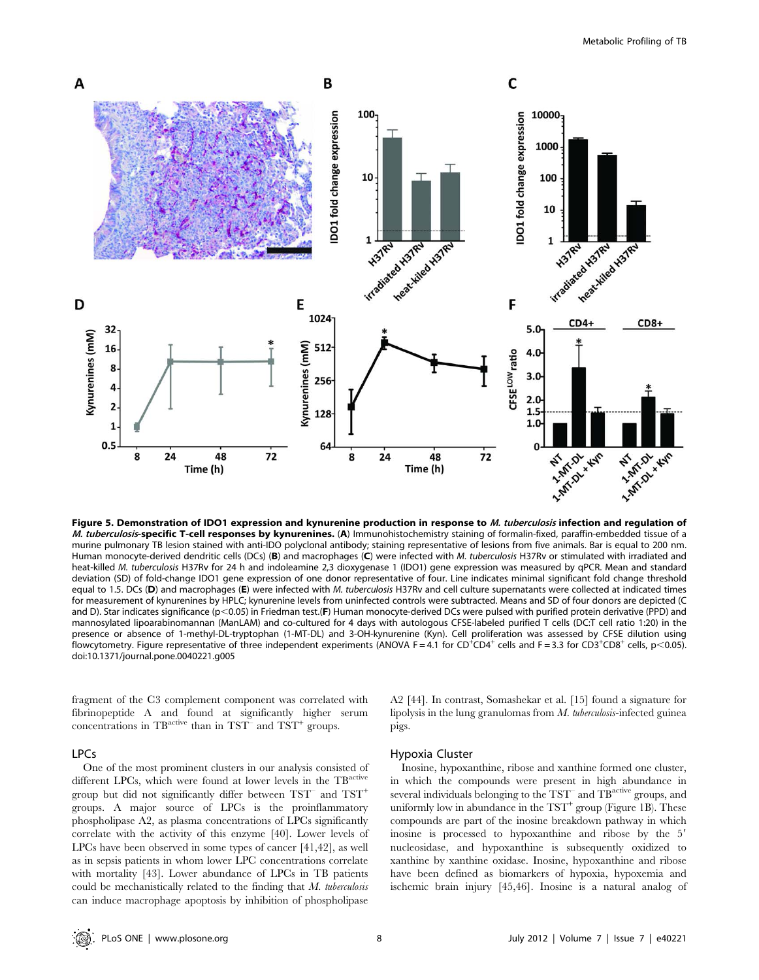Metabolic Profiling of TB



Figure 5. Demonstration of IDO1 expression and kynurenine production in response to *M. tuberculosis* infection and regulation of M. tuberculosis-specific T-cell responses by kynurenines. (A) Immunohistochemistry staining of formalin-fixed, paraffin-embedded tissue of a murine pulmonary TB lesion stained with anti-IDO polyclonal antibody; staining representative of lesions from five animals. Bar is equal to 200 nm. Human monocyte-derived dendritic cells (DCs) (B) and macrophages (C) were infected with M. tuberculosis H37Rv or stimulated with irradiated and heat-killed M. tuberculosis H37Rv for 24 h and indoleamine 2,3 dioxygenase 1 (IDO1) gene expression was measured by qPCR. Mean and standard deviation (SD) of fold-change IDO1 gene expression of one donor representative of four. Line indicates minimal significant fold change threshold equal to 1.5. DCs (D) and macrophages (E) were infected with M. tuberculosis H37Rv and cell culture supernatants were collected at indicated times for measurement of kynurenines by HPLC; kynurenine levels from uninfected controls were subtracted. Means and SD of four donors are depicted (C and D). Star indicates significance (p<0.05) in Friedman test.(F) Human monocyte-derived DCs were pulsed with purified protein derivative (PPD) and mannosylated lipoarabinomannan (ManLAM) and co-cultured for 4 days with autologous CFSE-labeled purified T cells (DC:T cell ratio 1:20) in the presence or absence of 1-methyl-DL-tryptophan (1-MT-DL) and 3-OH-kynurenine (Kyn). Cell proliferation was assessed by CFSE dilution using .<br>flowcytometry. Figure representative of three independent experiments (ANOVA F=4.1 for CD<sup>+</sup>CD4+ cells and F=3.3 for CD3+CD8+ cells, p<0.05). doi:10.1371/journal.pone.0040221.g005

fragment of the C3 complement component was correlated with fibrinopeptide A and found at significantly higher serum concentrations in TB<sup>active</sup> than in TST $\overline{S}$  and TST<sup>+</sup> groups.

## LPCs

One of the most prominent clusters in our analysis consisted of different LPCs, which were found at lower levels in the TB<sup>active</sup> group but did not significantly differ between  $TST^-$  and  $TST^+$ groups. A major source of LPCs is the proinflammatory phospholipase A2, as plasma concentrations of LPCs significantly correlate with the activity of this enzyme [40]. Lower levels of LPCs have been observed in some types of cancer [41,42], as well as in sepsis patients in whom lower LPC concentrations correlate with mortality [43]. Lower abundance of LPCs in TB patients could be mechanistically related to the finding that M. tuberculosis can induce macrophage apoptosis by inhibition of phospholipase

A2 [44]. In contrast, Somashekar et al. [15] found a signature for lipolysis in the lung granulomas from  $M$ . tuberculosis-infected guinearly pigs.

## Hypoxia Cluster

Inosine, hypoxanthine, ribose and xanthine formed one cluster, in which the compounds were present in high abundance in several individuals belonging to the  $TST^-$  and  $TB<sup>active</sup>$  groups, and uniformly low in abundance in the  $TST<sup>+</sup>$  group (Figure 1B). These compounds are part of the inosine breakdown pathway in which inosine is processed to hypoxanthine and ribose by the 5' nucleosidase, and hypoxanthine is subsequently oxidized to xanthine by xanthine oxidase. Inosine, hypoxanthine and ribose have been defined as biomarkers of hypoxia, hypoxemia and ischemic brain injury [45,46]. Inosine is a natural analog of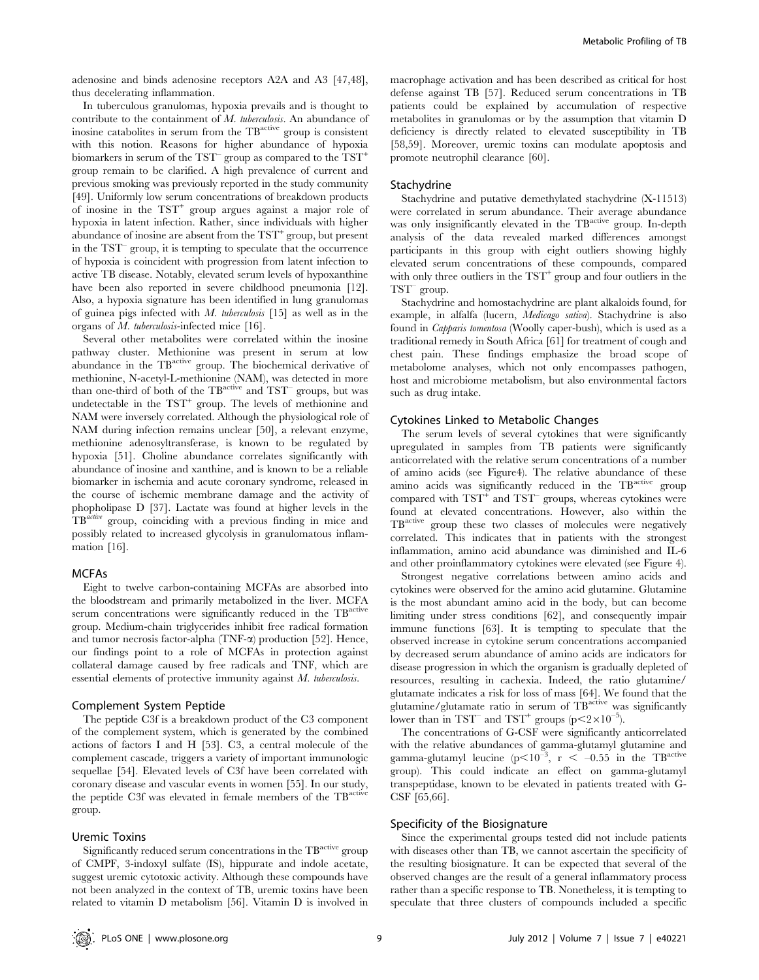thus decelerating inflammation. In tuberculous granulomas, hypoxia prevails and is thought to contribute to the containment of M. tuberculosis. An abundance of inosine catabolites in serum from the TB<sup>active</sup> group is consistent with this notion. Reasons for higher abundance of hypoxia biomarkers in serum of the TST<sup>-</sup> group as compared to the TST<sup>+</sup> group remain to be clarified. A high prevalence of current and previous smoking was previously reported in the study community [49]. Uniformly low serum concentrations of breakdown products of inosine in the TST<sup>+</sup> group argues against a major role of hypoxia in latent infection. Rather, since individuals with higher abundance of inosine are absent from the  $TST<sup>+</sup>$  group, but present in the TST– group, it is tempting to speculate that the occurrence of hypoxia is coincident with progression from latent infection to active TB disease. Notably, elevated serum levels of hypoxanthine have been also reported in severe childhood pneumonia [12]. Also, a hypoxia signature has been identified in lung granulomas of guinea pigs infected with  $M$ . tuberculosis [15] as well as in the organs of M. tuberculosis-infected mice [16].

Several other metabolites were correlated within the inosine pathway cluster. Methionine was present in serum at low abundance in the TB<sup>active</sup> group. The biochemical derivative of methionine, N-acetyl-L-methionine (NAM), was detected in more than one-third of both of the TB<sup>active</sup> and TST<sup>-</sup> groups, but was undetectable in the TST<sup>+</sup> group. The levels of methionine and NAM were inversely correlated. Although the physiological role of NAM during infection remains unclear [50], a relevant enzyme, methionine adenosyltransferase, is known to be regulated by hypoxia [51]. Choline abundance correlates significantly with abundance of inosine and xanthine, and is known to be a reliable biomarker in ischemia and acute coronary syndrome, released in the course of ischemic membrane damage and the activity of phopholipase D [37]. Lactate was found at higher levels in the TBactive group, coinciding with a previous finding in mice and possibly related to increased glycolysis in granulomatous inflammation [16].

# MCFAs

Eight to twelve carbon-containing MCFAs are absorbed into the bloodstream and primarily metabolized in the liver. MCFA serum concentrations were significantly reduced in the TB<sup>active</sup> group. Medium-chain triglycerides inhibit free radical formation and tumor necrosis factor-alpha (TNF-a) production [52]. Hence, our findings point to a role of MCFAs in protection against collateral damage caused by free radicals and TNF, which are essential elements of protective immunity against M. tuberculosis.

## Complement System Peptide

The peptide C3f is a breakdown product of the C3 component of the complement system, which is generated by the combined actions of factors I and H [53]. C3, a central molecule of the complement cascade, triggers a variety of important immunologic sequellae [54]. Elevated levels of C3f have been correlated with coronary disease and vascular events in women [55]. In our study, the peptide C3f was elevated in female members of the TB<sup>active</sup> group.

# Uremic Toxins

Significantly reduced serum concentrations in the TB<sup>active</sup> group of CMPF, 3-indoxyl sulfate (IS), hippurate and indole acetate, suggest uremic cytotoxic activity. Although these compounds have not been analyzed in the context of TB, uremic toxins have been related to vitamin D metabolism [56]. Vitamin D is involved in macrophage activation and has been described as critical for host defense against TB [57]. Reduced serum concentrations in TB patients could be explained by accumulation of respective metabolites in granulomas or by the assumption that vitamin D deficiency is directly related to elevated susceptibility in TB [58,59]. Moreover, uremic toxins can modulate apoptosis and promote neutrophil clearance [60].

## **Stachvdrine**

Stachydrine and putative demethylated stachydrine (X-11513) were correlated in serum abundance. Their average abundance was only insignificantly elevated in the TB<sup>active</sup> group. In-depth analysis of the data revealed marked differences amongst participants in this group with eight outliers showing highly elevated serum concentrations of these compounds, compared with only three outliers in the  $TST<sup>+</sup>$  group and four outliers in the TST– group.

Stachydrine and homostachydrine are plant alkaloids found, for example, in alfalfa (lucern, Medicago sativa). Stachydrine is also found in Capparis tomentosa (Woolly caper-bush), which is used as a traditional remedy in South Africa [61] for treatment of cough and chest pain. These findings emphasize the broad scope of metabolome analyses, which not only encompasses pathogen, host and microbiome metabolism, but also environmental factors such as drug intake.

# Cytokines Linked to Metabolic Changes

The serum levels of several cytokines that were significantly upregulated in samples from TB patients were significantly anticorrelated with the relative serum concentrations of a number of amino acids (see Figure4). The relative abundance of these amino acids was significantly reduced in the TB<sup>active</sup> group compared with  $TST^+$  and  $TST^-$  groups, whereas cytokines were found at elevated concentrations. However, also within the TBactive group these two classes of molecules were negatively correlated. This indicates that in patients with the strongest inflammation, amino acid abundance was diminished and IL-6 and other proinflammatory cytokines were elevated (see Figure 4).

Strongest negative correlations between amino acids and cytokines were observed for the amino acid glutamine. Glutamine is the most abundant amino acid in the body, but can become limiting under stress conditions [62], and consequently impair immune functions [63]. It is tempting to speculate that the observed increase in cytokine serum concentrations accompanied by decreased serum abundance of amino acids are indicators for disease progression in which the organism is gradually depleted of resources, resulting in cachexia. Indeed, the ratio glutamine/ glutamate indicates a risk for loss of mass [64]. We found that the glutamine/glutamate ratio in serum of TB<sup>active</sup> was significantly lower than in TST<sup> $-$ </sup> and TST<sup> $+$ </sup> groups (p $\leq$ 2 $\times$ 10<sup>-5</sup>).

The concentrations of G-CSF were significantly anticorrelated with the relative abundances of gamma-glutamyl glutamine and gamma-glutamyl leucine ( $p<10^{-3}$ , r < -0.55 in the TB<sup>active</sup> group). This could indicate an effect on gamma-glutamyl transpeptidase, known to be elevated in patients treated with G-CSF [65,66].

## Specificity of the Biosignature

Since the experimental groups tested did not include patients with diseases other than TB, we cannot ascertain the specificity of the resulting biosignature. It can be expected that several of the observed changes are the result of a general inflammatory process rather than a specific response to TB. Nonetheless, it is tempting to speculate that three clusters of compounds included a specific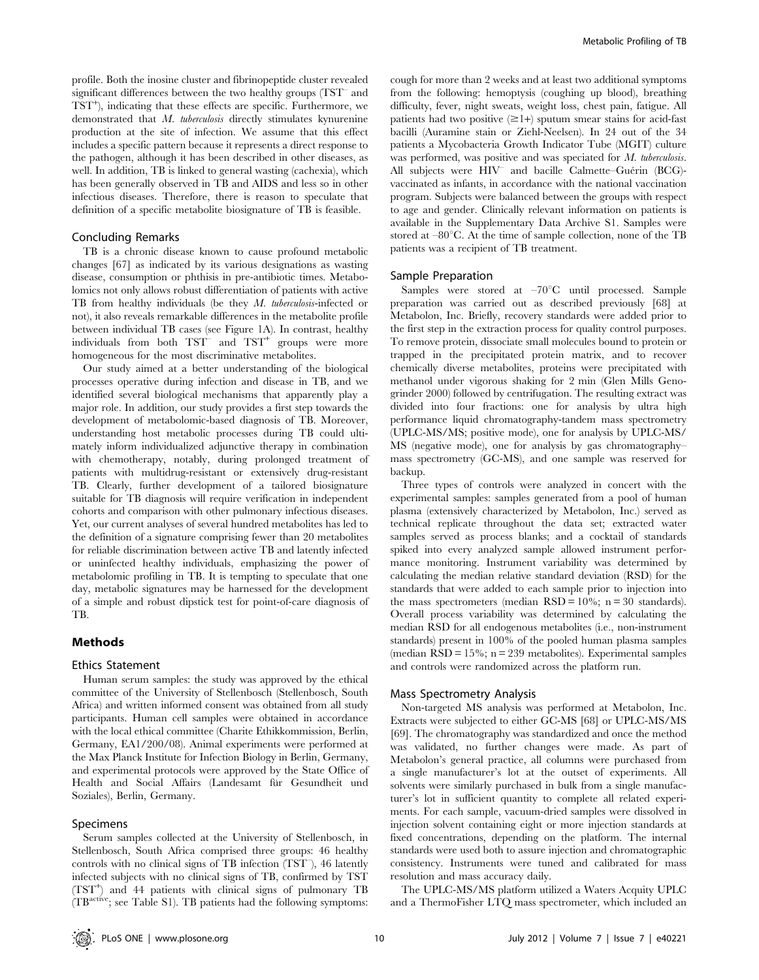profile. Both the inosine cluster and fibrinopeptide cluster revealed significant differences between the two healthy groups (TST– and TST<sup>+</sup> ), indicating that these effects are specific. Furthermore, we demonstrated that M. tuberculosis directly stimulates kynurenine production at the site of infection. We assume that this effect includes a specific pattern because it represents a direct response to the pathogen, although it has been described in other diseases, as well. In addition, TB is linked to general wasting (cachexia), which has been generally observed in TB and AIDS and less so in other infectious diseases. Therefore, there is reason to speculate that definition of a specific metabolite biosignature of TB is feasible.

# Concluding Remarks

TB is a chronic disease known to cause profound metabolic changes [67] as indicated by its various designations as wasting disease, consumption or phthisis in pre-antibiotic times. Metabolomics not only allows robust differentiation of patients with active TB from healthy individuals (be they M. tuberculosis-infected or not), it also reveals remarkable differences in the metabolite profile between individual TB cases (see Figure 1A). In contrast, healthy individuals from both  $TST^-$  and  $TST^+$  groups were more homogeneous for the most discriminative metabolites.

Our study aimed at a better understanding of the biological processes operative during infection and disease in TB, and we identified several biological mechanisms that apparently play a major role. In addition, our study provides a first step towards the development of metabolomic-based diagnosis of TB. Moreover, understanding host metabolic processes during TB could ultimately inform individualized adjunctive therapy in combination with chemotherapy, notably, during prolonged treatment of patients with multidrug-resistant or extensively drug-resistant TB. Clearly, further development of a tailored biosignature suitable for TB diagnosis will require verification in independent cohorts and comparison with other pulmonary infectious diseases. Yet, our current analyses of several hundred metabolites has led to the definition of a signature comprising fewer than 20 metabolites for reliable discrimination between active TB and latently infected or uninfected healthy individuals, emphasizing the power of metabolomic profiling in TB. It is tempting to speculate that one day, metabolic signatures may be harnessed for the development of a simple and robust dipstick test for point-of-care diagnosis of TB.

# Methods

#### Ethics Statement

Human serum samples: the study was approved by the ethical committee of the University of Stellenbosch (Stellenbosch, South Africa) and written informed consent was obtained from all study participants. Human cell samples were obtained in accordance with the local ethical committee (Charite Ethikkommission, Berlin, Germany, EA1/200/08). Animal experiments were performed at the Max Planck Institute for Infection Biology in Berlin, Germany, and experimental protocols were approved by the State Office of Health and Social Affairs (Landesamt für Gesundheit und Soziales), Berlin, Germany.

# Specimens

Serum samples collected at the University of Stellenbosch, in Stellenbosch, South Africa comprised three groups: 46 healthy controls with no clinical signs of TB infection (TST– ), 46 latently infected subjects with no clinical signs of TB, confirmed by TST (TST<sup>+</sup> ) and 44 patients with clinical signs of pulmonary TB (TBactive; see Table S1). TB patients had the following symptoms:

cough for more than 2 weeks and at least two additional symptoms from the following: hemoptysis (coughing up blood), breathing difficulty, fever, night sweats, weight loss, chest pain, fatigue. All patients had two positive  $(\geq 1+)$  sputum smear stains for acid-fast bacilli (Auramine stain or Ziehl-Neelsen). In 24 out of the 34 patients a Mycobacteria Growth Indicator Tube (MGIT) culture was performed, was positive and was speciated for M. tuberculosis. All subjects were  $H\!I\!V^-$  and bacille Calmette–Guérin (BCG)vaccinated as infants, in accordance with the national vaccination program. Subjects were balanced between the groups with respect to age and gender. Clinically relevant information on patients is available in the Supplementary Data Archive S1. Samples were stored at  $-80^{\circ}$ C. At the time of sample collection, none of the TB patients was a recipient of TB treatment.

#### Sample Preparation

Samples were stored at  $-70^{\circ}$ C until processed. Sample preparation was carried out as described previously [68] at Metabolon, Inc. Briefly, recovery standards were added prior to the first step in the extraction process for quality control purposes. To remove protein, dissociate small molecules bound to protein or trapped in the precipitated protein matrix, and to recover chemically diverse metabolites, proteins were precipitated with methanol under vigorous shaking for 2 min (Glen Mills Genogrinder 2000) followed by centrifugation. The resulting extract was divided into four fractions: one for analysis by ultra high performance liquid chromatography-tandem mass spectrometry (UPLC-MS/MS; positive mode), one for analysis by UPLC-MS/ MS (negative mode), one for analysis by gas chromatography– mass spectrometry (GC-MS), and one sample was reserved for backup.

Three types of controls were analyzed in concert with the experimental samples: samples generated from a pool of human plasma (extensively characterized by Metabolon, Inc.) served as technical replicate throughout the data set; extracted water samples served as process blanks; and a cocktail of standards spiked into every analyzed sample allowed instrument performance monitoring. Instrument variability was determined by calculating the median relative standard deviation (RSD) for the standards that were added to each sample prior to injection into the mass spectrometers (median  $RSD = 10\%$ ; n = 30 standards). Overall process variability was determined by calculating the median RSD for all endogenous metabolites (i.e., non-instrument standards) present in 100% of the pooled human plasma samples (median  $RSD = 15\%$ ; n = 239 metabolites). Experimental samples and controls were randomized across the platform run.

#### Mass Spectrometry Analysis

Non-targeted MS analysis was performed at Metabolon, Inc. Extracts were subjected to either GC-MS [68] or UPLC-MS/MS [69]. The chromatography was standardized and once the method was validated, no further changes were made. As part of Metabolon's general practice, all columns were purchased from a single manufacturer's lot at the outset of experiments. All solvents were similarly purchased in bulk from a single manufacturer's lot in sufficient quantity to complete all related experiments. For each sample, vacuum-dried samples were dissolved in injection solvent containing eight or more injection standards at fixed concentrations, depending on the platform. The internal standards were used both to assure injection and chromatographic consistency. Instruments were tuned and calibrated for mass resolution and mass accuracy daily.

The UPLC-MS/MS platform utilized a Waters Acquity UPLC and a ThermoFisher LTQ mass spectrometer, which included an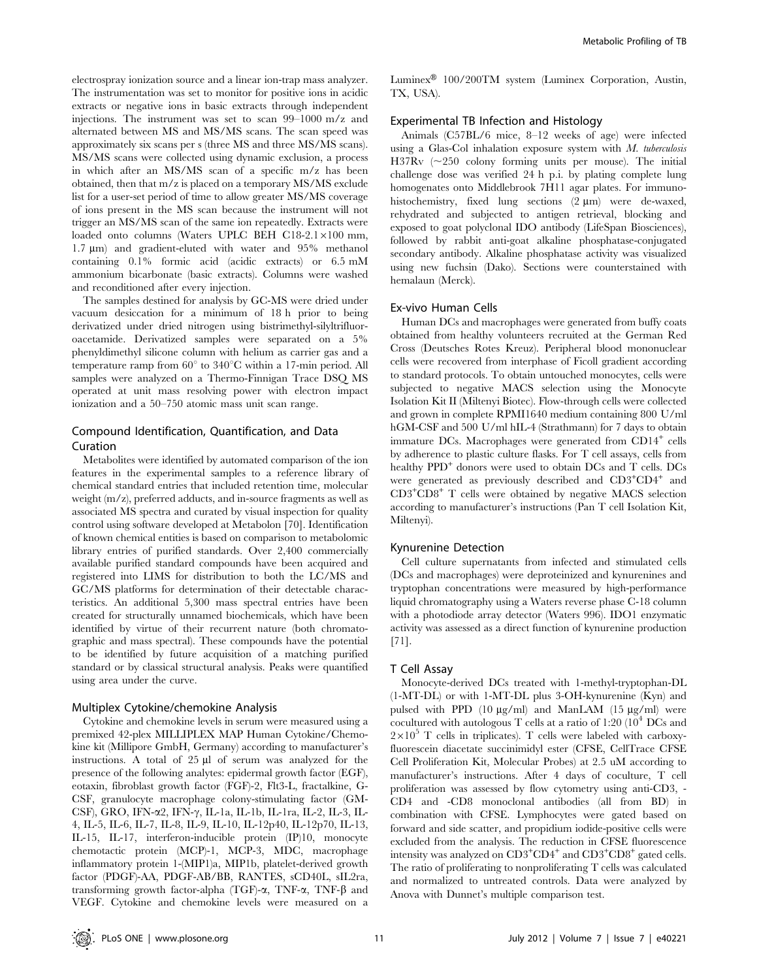electrospray ionization source and a linear ion-trap mass analyzer. The instrumentation was set to monitor for positive ions in acidic extracts or negative ions in basic extracts through independent injections. The instrument was set to scan 99–1000 m/z and alternated between MS and MS/MS scans. The scan speed was approximately six scans per s (three MS and three MS/MS scans). MS/MS scans were collected using dynamic exclusion, a process in which after an MS/MS scan of a specific m/z has been obtained, then that m/z is placed on a temporary MS/MS exclude list for a user-set period of time to allow greater MS/MS coverage of ions present in the MS scan because the instrument will not trigger an MS/MS scan of the same ion repeatedly. Extracts were loaded onto columns (Waters UPLC BEH C18-2.1 $\times$ 100 mm, 1.7  $\mu$ m) and gradient-eluted with water and 95% methanol containing 0.1% formic acid (acidic extracts) or 6.5 mM ammonium bicarbonate (basic extracts). Columns were washed and reconditioned after every injection.

The samples destined for analysis by GC-MS were dried under vacuum desiccation for a minimum of 18 h prior to being derivatized under dried nitrogen using bistrimethyl-silyltrifluoroacetamide. Derivatized samples were separated on a 5% phenyldimethyl silicone column with helium as carrier gas and a temperature ramp from  $60^{\circ}$  to  $340^{\circ}$ C within a 17-min period. All samples were analyzed on a Thermo-Finnigan Trace DSQ MS operated at unit mass resolving power with electron impact ionization and a 50–750 atomic mass unit scan range.

# Compound Identification, Quantification, and Data Curation

Metabolites were identified by automated comparison of the ion features in the experimental samples to a reference library of chemical standard entries that included retention time, molecular weight (m/z), preferred adducts, and in-source fragments as well as associated MS spectra and curated by visual inspection for quality control using software developed at Metabolon [70]. Identification of known chemical entities is based on comparison to metabolomic library entries of purified standards. Over 2,400 commercially available purified standard compounds have been acquired and registered into LIMS for distribution to both the LC/MS and GC/MS platforms for determination of their detectable characteristics. An additional 5,300 mass spectral entries have been created for structurally unnamed biochemicals, which have been identified by virtue of their recurrent nature (both chromatographic and mass spectral). These compounds have the potential to be identified by future acquisition of a matching purified standard or by classical structural analysis. Peaks were quantified using area under the curve.

## Multiplex Cytokine/chemokine Analysis

Cytokine and chemokine levels in serum were measured using a premixed 42-plex MILLIPLEX MAP Human Cytokine/Chemokine kit (Millipore GmbH, Germany) according to manufacturer's instructions. A total of  $25 \mu l$  of serum was analyzed for the presence of the following analytes: epidermal growth factor (EGF), eotaxin, fibroblast growth factor (FGF)-2, Flt3-L, fractalkine, G-CSF, granulocyte macrophage colony-stimulating factor (GM-CSF), GRO, IFN-α2, IFN-γ, IL-1a, IL-1b, IL-1ra, IL-2, IL-3, IL-4, IL-5, IL-6, IL-7, IL-8, IL-9, IL-10, IL-12p40, IL-12p70, IL-13, IL-15, IL-17, interferon-inducible protein (IP)10, monocyte chemotactic protein (MCP)-1, MCP-3, MDC, macrophage inflammatory protein 1-(MIP1)a, MIP1b, platelet-derived growth factor (PDGF)-AA, PDGF-AB/BB, RANTES, sCD40L, sIL2ra, transforming growth factor-alpha (TGF)- $\alpha$ , TNF- $\alpha$ , TNF- $\beta$  and VEGF. Cytokine and chemokine levels were measured on a

Luminex® 100/200TM system (Luminex Corporation, Austin, TX, USA).

# Experimental TB Infection and Histology

Animals (C57BL/6 mice, 8–12 weeks of age) were infected using a Glas-Col inhalation exposure system with  $M$ . tuberculosis  $H37Rv$  ( $\sim$ 250 colony forming units per mouse). The initial challenge dose was verified 24 h p.i. by plating complete lung homogenates onto Middlebrook 7H11 agar plates. For immunohistochemistry, fixed lung sections (2 µm) were de-waxed, rehydrated and subjected to antigen retrieval, blocking and exposed to goat polyclonal IDO antibody (LifeSpan Biosciences), followed by rabbit anti-goat alkaline phosphatase-conjugated secondary antibody. Alkaline phosphatase activity was visualized using new fuchsin (Dako). Sections were counterstained with hemalaun (Merck).

## Ex-vivo Human Cells

Human DCs and macrophages were generated from buffy coats obtained from healthy volunteers recruited at the German Red Cross (Deutsches Rotes Kreuz). Peripheral blood mononuclear cells were recovered from interphase of Ficoll gradient according to standard protocols. To obtain untouched monocytes, cells were subjected to negative MACS selection using the Monocyte Isolation Kit II (Miltenyi Biotec). Flow-through cells were collected and grown in complete RPMI1640 medium containing 800 U/ml hGM-CSF and 500 U/ml hIL-4 (Strathmann) for 7 days to obtain immature DCs. Macrophages were generated from CD14<sup>+</sup> cells by adherence to plastic culture flasks. For T cell assays, cells from healthy PPD<sup>+</sup> donors were used to obtain DCs and T cells. DCs were generated as previously described and CD3<sup>+</sup>CD4<sup>+</sup> and CD3<sup>+</sup> CD8<sup>+</sup> T cells were obtained by negative MACS selection according to manufacturer's instructions (Pan T cell Isolation Kit, Miltenyi).

## Kynurenine Detection

Cell culture supernatants from infected and stimulated cells (DCs and macrophages) were deproteinized and kynurenines and tryptophan concentrations were measured by high-performance liquid chromatography using a Waters reverse phase C-18 column with a photodiode array detector (Waters 996). IDO1 enzymatic activity was assessed as a direct function of kynurenine production [71].

## T Cell Assay

Monocyte-derived DCs treated with 1-methyl-tryptophan-DL (1-MT-DL) or with 1-MT-DL plus 3-OH-kynurenine (Kyn) and pulsed with PPD  $(10 \mu g/ml)$  and ManLAM  $(15 \mu g/ml)$  were cocultured with autologous T cells at a ratio of  $1:20$  ( $10^4$  DCs and  $2\times10^5$  T cells in triplicates). T cells were labeled with carboxyfluorescein diacetate succinimidyl ester (CFSE, CellTrace CFSE Cell Proliferation Kit, Molecular Probes) at 2.5 uM according to manufacturer's instructions. After 4 days of coculture, T cell proliferation was assessed by flow cytometry using anti-CD3, - CD4 and -CD8 monoclonal antibodies (all from BD) in combination with CFSE. Lymphocytes were gated based on forward and side scatter, and propidium iodide-positive cells were excluded from the analysis. The reduction in CFSE fluorescence intensity was analyzed on  $CD3^+CD4^+$  and  $CD3^+CD8^+$  gated cells. The ratio of proliferating to nonproliferating T cells was calculated and normalized to untreated controls. Data were analyzed by Anova with Dunnet's multiple comparison test.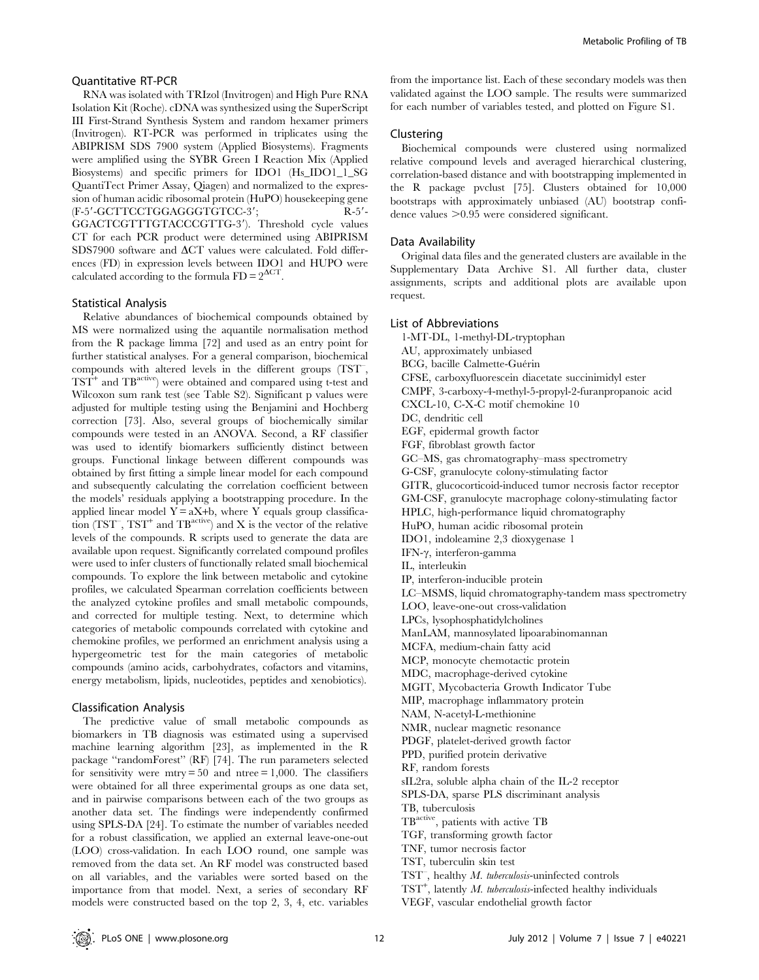# Quantitative RT-PCR

RNA was isolated with TRIzol (Invitrogen) and High Pure RNA Isolation Kit (Roche). cDNA was synthesized using the SuperScript III First-Strand Synthesis System and random hexamer primers (Invitrogen). RT-PCR was performed in triplicates using the ABIPRISM SDS 7900 system (Applied Biosystems). Fragments were amplified using the SYBR Green I Reaction Mix (Applied Biosystems) and specific primers for IDO1 (Hs\_IDO1\_1\_SG QuantiTect Primer Assay, Qiagen) and normalized to the expression of human acidic ribosomal protein (HuPO) housekeeping gene  $(F-5'-GCTTCCTGGAGGGTGTCCC-3';$ GGACTCGTTTGTACCCGTTG-3'). Threshold cycle values CT for each PCR product were determined using ABIPRISM SDS7900 software and  $\Delta$ CT values were calculated. Fold differences (FD) in expression levels between IDO1 and HUPO were calculated according to the formula  $FD = 2^{\Delta CT}$ .

# Statistical Analysis

Relative abundances of biochemical compounds obtained by MS were normalized using the aquantile normalisation method from the R package limma [72] and used as an entry point for further statistical analyses. For a general comparison, biochemical compounds with altered levels in the different groups (TST– ,  $TST^+$  and  $TB^{\text{active}}$  were obtained and compared using t-test and Wilcoxon sum rank test (see Table S2). Significant p values were adjusted for multiple testing using the Benjamini and Hochberg correction [73]. Also, several groups of biochemically similar compounds were tested in an ANOVA. Second, a RF classifier was used to identify biomarkers sufficiently distinct between groups. Functional linkage between different compounds was obtained by first fitting a simple linear model for each compound and subsequently calculating the correlation coefficient between the models' residuals applying a bootstrapping procedure. In the applied linear model  $Y = aX+b$ , where Y equals group classification (TST<sup>-</sup>, TST<sup>+</sup> and TB<sup>active</sup>) and X is the vector of the relative levels of the compounds. R scripts used to generate the data are available upon request. Significantly correlated compound profiles were used to infer clusters of functionally related small biochemical compounds. To explore the link between metabolic and cytokine profiles, we calculated Spearman correlation coefficients between the analyzed cytokine profiles and small metabolic compounds, and corrected for multiple testing. Next, to determine which categories of metabolic compounds correlated with cytokine and chemokine profiles, we performed an enrichment analysis using a hypergeometric test for the main categories of metabolic compounds (amino acids, carbohydrates, cofactors and vitamins, energy metabolism, lipids, nucleotides, peptides and xenobiotics).

## Classification Analysis

The predictive value of small metabolic compounds as biomarkers in TB diagnosis was estimated using a supervised machine learning algorithm [23], as implemented in the R package ''randomForest'' (RF) [74]. The run parameters selected for sensitivity were mtry  $= 50$  and ntree  $= 1,000$ . The classifiers were obtained for all three experimental groups as one data set, and in pairwise comparisons between each of the two groups as another data set. The findings were independently confirmed using SPLS-DA [24]. To estimate the number of variables needed for a robust classification, we applied an external leave-one-out (LOO) cross-validation. In each LOO round, one sample was removed from the data set. An RF model was constructed based on all variables, and the variables were sorted based on the importance from that model. Next, a series of secondary RF models were constructed based on the top 2, 3, 4, etc. variables

from the importance list. Each of these secondary models was then validated against the LOO sample. The results were summarized for each number of variables tested, and plotted on Figure S1.

# Clustering

Biochemical compounds were clustered using normalized relative compound levels and averaged hierarchical clustering, correlation-based distance and with bootstrapping implemented in the R package pvclust [75]. Clusters obtained for 10,000 bootstraps with approximately unbiased (AU) bootstrap confidence values  $>0.95$  were considered significant.

# Data Availability

Original data files and the generated clusters are available in the Supplementary Data Archive S1. All further data, cluster assignments, scripts and additional plots are available upon request.

# List of Abbreviations

1-MT-DL, 1-methyl-DL-tryptophan AU, approximately unbiased BCG, bacille Calmette-Guérin CFSE, carboxyfluorescein diacetate succinimidyl ester CMPF, 3-carboxy-4-methyl-5-propyl-2-furanpropanoic acid CXCL-10, C-X-C motif chemokine 10 DC, dendritic cell EGF, epidermal growth factor FGF, fibroblast growth factor GC–MS, gas chromatography–mass spectrometry G-CSF, granulocyte colony-stimulating factor GITR, glucocorticoid-induced tumor necrosis factor receptor GM-CSF, granulocyte macrophage colony-stimulating factor HPLC, high-performance liquid chromatography HuPO, human acidic ribosomal protein IDO1, indoleamine 2,3 dioxygenase 1 IFN-γ, interferon-gamma IL, interleukin IP, interferon-inducible protein LC–MSMS, liquid chromatography-tandem mass spectrometry LOO, leave-one-out cross-validation LPCs, lysophosphatidylcholines ManLAM, mannosylated lipoarabinomannan MCFA, medium-chain fatty acid MCP, monocyte chemotactic protein MDC, macrophage-derived cytokine MGIT, Mycobacteria Growth Indicator Tube MIP, macrophage inflammatory protein NAM, N-acetyl-L-methionine NMR, nuclear magnetic resonance PDGF, platelet-derived growth factor PPD, purified protein derivative RF, random forests sIL2ra, soluble alpha chain of the IL-2 receptor SPLS-DA, sparse PLS discriminant analysis TB, tuberculosis TBactive, patients with active TB TGF, transforming growth factor TNF, tumor necrosis factor TST, tuberculin skin test TST<sup>-</sup>, healthy M. tuberculosis-uninfected controls TST<sup>+</sup>, latently M. tuberculosis-infected healthy individuals

VEGF, vascular endothelial growth factor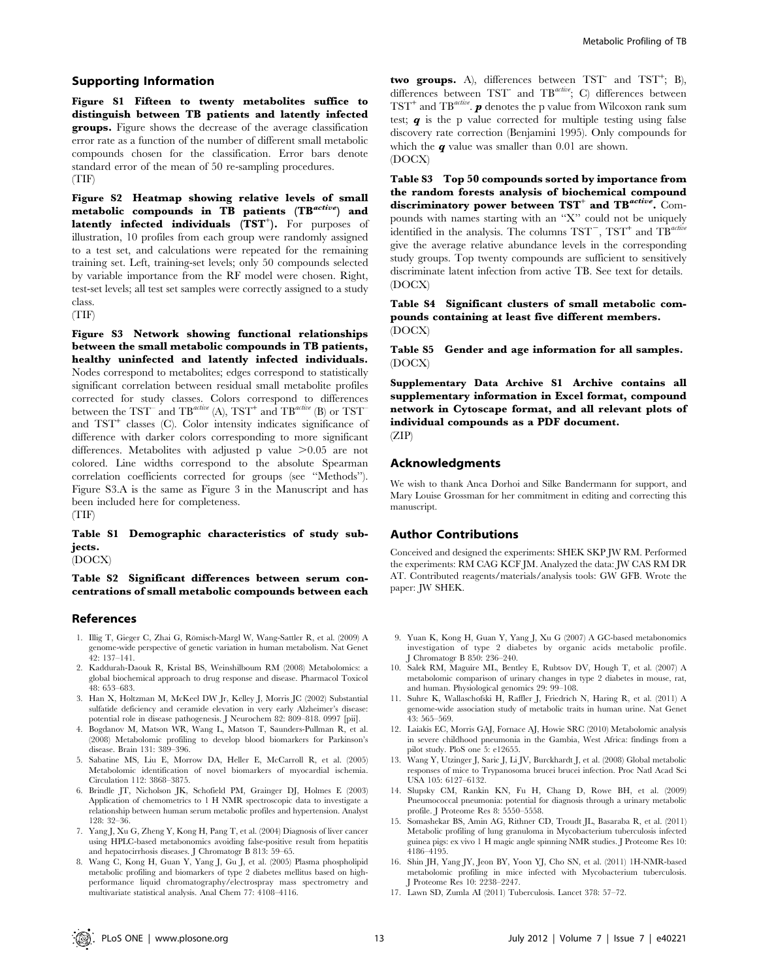# Supporting Information

Figure S1 Fifteen to twenty metabolites suffice to distinguish between TB patients and latently infected groups. Figure shows the decrease of the average classification error rate as a function of the number of different small metabolic compounds chosen for the classification. Error bars denote standard error of the mean of 50 re-sampling procedures. (TIF)

Figure S2 Heatmap showing relative levels of small metabolic compounds in TB patients  $(TB^{active})$  and latently infected individuals (TST<sup>+</sup>). For purposes of illustration, 10 profiles from each group were randomly assigned to a test set, and calculations were repeated for the remaining training set. Left, training-set levels; only 50 compounds selected by variable importance from the RF model were chosen. Right, test-set levels; all test set samples were correctly assigned to a study class.

(TIF)

Figure S3 Network showing functional relationships between the small metabolic compounds in TB patients, healthy uninfected and latently infected individuals. Nodes correspond to metabolites; edges correspond to statistically significant correlation between residual small metabolite profiles corrected for study classes. Colors correspond to differences between the TST<sup>–</sup> and  $TB^{active}$  (A), TST<sup>+</sup> and  $TB^{active}$  (B) or TST and  $TST<sup>+</sup>$  classes (C). Color intensity indicates significance of difference with darker colors corresponding to more significant differences. Metabolites with adjusted p value  $>0.05$  are not colored. Line widths correspond to the absolute Spearman correlation coefficients corrected for groups (see ''Methods''). Figure S3.A is the same as Figure 3 in the Manuscript and has been included here for completeness. (TIF)

# Table S1 Demographic characteristics of study subjects.

(DOCX)

Table S2 Significant differences between serum concentrations of small metabolic compounds between each

## References

- 1. Illig T, Gieger C, Zhai G, Römisch-Margl W, Wang-Sattler R, et al. (2009) A genome-wide perspective of genetic variation in human metabolism. Nat Genet 42: 137–141.
- 2. Kaddurah-Daouk R, Kristal BS, Weinshilboum RM (2008) Metabolomics: a global biochemical approach to drug response and disease. Pharmacol Toxicol 48: 653–683.
- 3. Han X, Holtzman M, McKeel DW Jr, Kelley J, Morris JC (2002) Substantial sulfatide deficiency and ceramide elevation in very early Alzheimer's disease: potential role in disease pathogenesis. J Neurochem 82: 809–818. 0997 [pii].
- 4. Bogdanov M, Matson WR, Wang L, Matson T, Saunders-Pullman R, et al. (2008) Metabolomic profiling to develop blood biomarkers for Parkinson's disease. Brain 131: 389–396.
- 5. Sabatine MS, Liu E, Morrow DA, Heller E, McCarroll R, et al. (2005) Metabolomic identification of novel biomarkers of myocardial ischemia. Circulation 112: 3868–3875.
- 6. Brindle JT, Nicholson JK, Schofield PM, Grainger DJ, Holmes E (2003) Application of chemometrics to 1 H NMR spectroscopic data to investigate a relationship between human serum metabolic profiles and hypertension. Analyst 128: 32–36.
- 7. Yang J, Xu G, Zheng Y, Kong H, Pang T, et al. (2004) Diagnosis of liver cancer using HPLC-based metabonomics avoiding false-positive result from hepatitis and hepatocirrhosis diseases. J Chromatogr B 813: 59–65.
- 8. Wang C, Kong H, Guan Y, Yang J, Gu J, et al. (2005) Plasma phospholipid metabolic profiling and biomarkers of type 2 diabetes mellitus based on highperformance liquid chromatography/electrospray mass spectrometry and multivariate statistical analysis. Anal Chem 77: 4108–4116.

two groups. A), differences between TST<sup>-</sup> and TST<sup>+</sup>; B), differences between TST<sup>-</sup> and TB<sup>active</sup>; C) differences between  $TST^+$  and  $TB^{active}$ . **p** denotes the p value from Wilcoxon rank sum test;  $q$  is the p value corrected for multiple testing using false discovery rate correction (Benjamini 1995). Only compounds for which the  $q$  value was smaller than 0.01 are shown. (DOCX)

Table S3 Top 50 compounds sorted by importance from the random forests analysis of biochemical compound discriminatory power between  $TST^+$  and  $TB^{active}$ . Compounds with names starting with an ''X'' could not be uniquely identified in the analysis. The columns  $TST^{-}$ ,  $TST^{+}$  and  $TB^{active}$ give the average relative abundance levels in the corresponding study groups. Top twenty compounds are sufficient to sensitively discriminate latent infection from active TB. See text for details. (DOCX)

Table S4 Significant clusters of small metabolic compounds containing at least five different members. (DOCX)

Table S5 Gender and age information for all samples. (DOCX)

Supplementary Data Archive S1 Archive contains all supplementary information in Excel format, compound network in Cytoscape format, and all relevant plots of individual compounds as a PDF document.  $(ZIP)$ 

#### Acknowledgments

We wish to thank Anca Dorhoi and Silke Bandermann for support, and Mary Louise Grossman for her commitment in editing and correcting this manuscript.

## Author Contributions

Conceived and designed the experiments: SHEK SKP JW RM. Performed the experiments: RM CAG KCF JM. Analyzed the data: JW CAS RM DR AT. Contributed reagents/materials/analysis tools: GW GFB. Wrote the paper: JW SHEK.

- 9. Yuan K, Kong H, Guan Y, Yang J, Xu G (2007) A GC-based metabonomics investigation of type 2 diabetes by organic acids metabolic profile. J Chromatogr B 850: 236–240.
- 10. Salek RM, Maguire ML, Bentley E, Rubtsov DV, Hough T, et al. (2007) A metabolomic comparison of urinary changes in type 2 diabetes in mouse, rat, and human. Physiological genomics 29: 99–108.
- 11. Suhre K, Wallaschofski H, Raffler J, Friedrich N, Haring R, et al. (2011) A genome-wide association study of metabolic traits in human urine. Nat Genet 43: 565–569.
- 12. Laiakis EC, Morris GAJ, Fornace AJ, Howie SRC (2010) Metabolomic analysis in severe childhood pneumonia in the Gambia, West Africa: findings from a pilot study. PloS one 5: e12655.
- 13. Wang Y, Utzinger J, Saric J, Li JV, Burckhardt J, et al. (2008) Global metabolic responses of mice to Trypanosoma brucei brucei infection. Proc Natl Acad Sci USA 105: 6127–6132.
- 14. Slupsky CM, Rankin KN, Fu H, Chang D, Rowe BH, et al. (2009) Pneumococcal pneumonia: potential for diagnosis through a urinary metabolic profile. J Proteome Res 8: 5550–5558.
- 15. Somashekar BS, Amin AG, Rithner CD, Troudt JL, Basaraba R, et al. (2011) Metabolic profiling of lung granuloma in Mycobacterium tuberculosis infected guinea pigs: ex vivo 1 H magic angle spinning NMR studies. J Proteome Res 10: 4186–4195.
- 16. Shin JH, Yang JY, Jeon BY, Yoon YJ, Cho SN, et al. (2011) 1H-NMR-based metabolomic profiling in mice infected with Mycobacterium tuberculosis. J Proteome Res 10: 2238–2247.
- 17. Lawn SD, Zumla AI (2011) Tuberculosis. Lancet 378: 57–72.